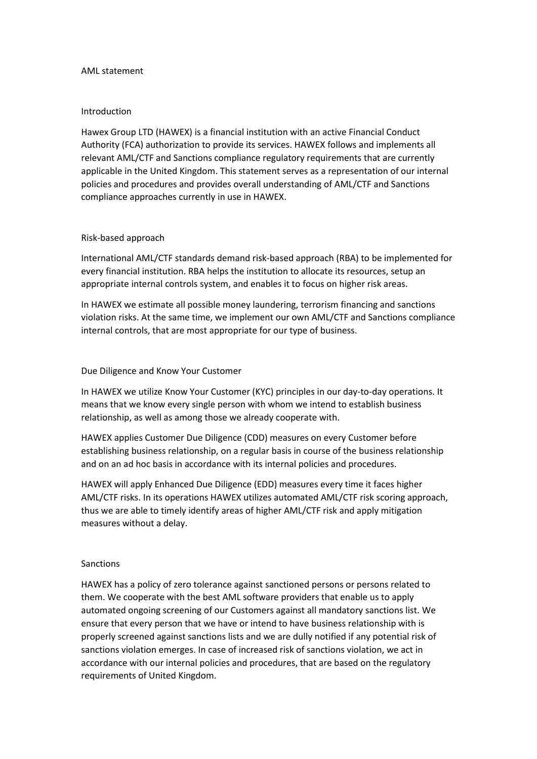#### AML statement

### Introduction

Hawex Group LTD (HAWEX) is a financial institution with an active Financial Conduct Authority (FCA) authorization to provide its services. HAWEX follows and implements all relevant AML/CTF and Sanctions compliance regulatory requirements that are currently applicable in the United Kingdom. This statement serves as a representation of our internal policies and procedures and provides overall understanding of AML/CTF and Sanctions compliance approaches currently in use in HAWEX.

## Risk-based approach

International AML/CTF standards demand risk-based approach (RBA) to be implemented for every financial institution. RBA helps the institution to allocate its resources, setup an appropriate internal controls system, and enables it to focus on higher risk areas.

In HAWEX we estimate all possible money laundering, terrorism financing and sanctions violation risks. At the same time, we implement our own AML/CTF and Sanctions compliance internal controls, that are most appropriate for our type of business.

### Due Diligence and Know Your Customer

In HAWEX we utilize Know Your Customer (KYC) principles in our day-to-day operations. It means that we know every single person with whom we intend to establish business relationship, as well as among those we already cooperate with.

HAWEX applies Customer Due Diligence (CDD) measures on every Customer before establishing business relationship, on a regular basis in course of the business relationship and on an ad hoc basis in accordance with its internal policies and procedures.

HAWEX will apply Enhanced Due Diligence (EDD) measures every time it faces higher AML/CTF risks. In its operations HAWEX utilizes automated AML/CTF risk scoring approach, thus we are able to timely identify areas of higher AML/CTF risk and apply mitigation measures without a delay.

## Sanctions

HAWEX has a policy of zero tolerance against sanctioned persons or persons related to them. We cooperate with the best AML software providers that enable us to apply automated ongoing screening of our Customers against all mandatory sanctions list. We ensure that every person that we have or intend to have business relationship with is properly screened against sanctions lists and we are dully notified if any potential risk of sanctions violation emerges. In case of increased risk of sanctions violation, we act in accordance with our internal policies and procedures, that are based on the regulatory requirements of United Kingdom.